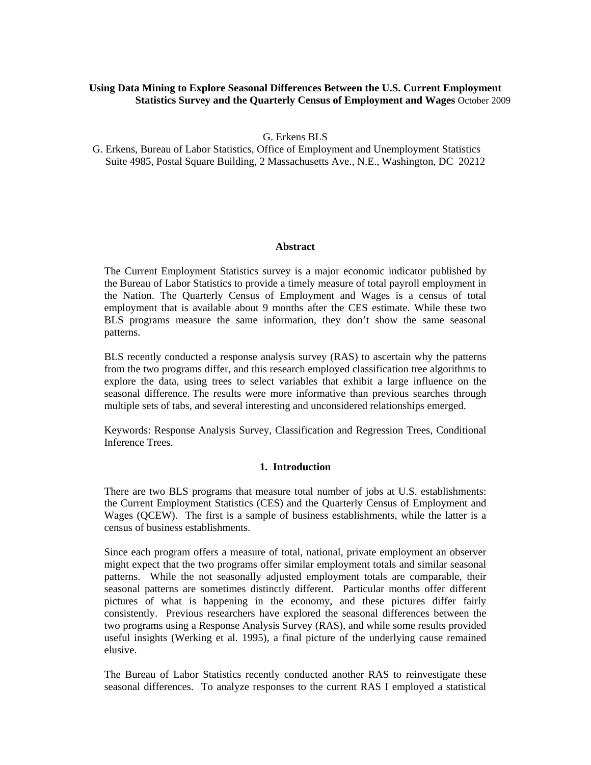# **Using Data Mining to Explore Seasonal Differences Between the U.S. Current Employment Statistics Survey and the Quarterly Census of Employment and Wages** October 2009

G. Erkens BLS

G. Erkens, Bureau of Labor Statistics, Office of Employment and Unemployment Statistics Suite 4985, Postal Square Building, 2 Massachusetts Ave., N.E., Washington, DC 20212

### **Abstract**

The Current Employment Statistics survey is a major economic indicator published by the Bureau of Labor Statistics to provide a timely measure of total payroll employment in the Nation. The Quarterly Census of Employment and Wages is a census of total employment that is available about 9 months after the CES estimate. While these two BLS programs measure the same information, they don't show the same seasonal patterns.

BLS recently conducted a response analysis survey (RAS) to ascertain why the patterns from the two programs differ, and this research employed classification tree algorithms to explore the data, using trees to select variables that exhibit a large influence on the seasonal difference. The results were more informative than previous searches through multiple sets of tabs, and several interesting and unconsidered relationships emerged.

Keywords: Response Analysis Survey, Classification and Regression Trees, Conditional Inference Trees.

#### **1. Introduction**

There are two BLS programs that measure total number of jobs at U.S. establishments: the Current Employment Statistics (CES) and the Quarterly Census of Employment and Wages (QCEW). The first is a sample of business establishments, while the latter is a census of business establishments.

Since each program offers a measure of total, national, private employment an observer might expect that the two programs offer similar employment totals and similar seasonal patterns. While the not seasonally adjusted employment totals are comparable, their seasonal patterns are sometimes distinctly different. Particular months offer different pictures of what is happening in the economy, and these pictures differ fairly consistently. Previous researchers have explored the seasonal differences between the two programs using a Response Analysis Survey (RAS), and while some results provided useful insights (Werking et al. 1995), a final picture of the underlying cause remained elusive.

The Bureau of Labor Statistics recently conducted another RAS to reinvestigate these seasonal differences. To analyze responses to the current RAS I employed a statistical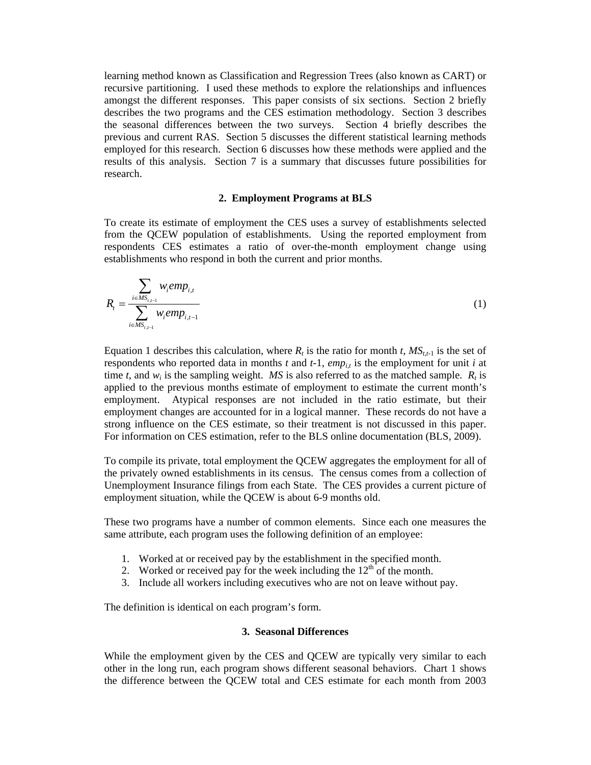learning method known as Classification and Regression Trees (also known as CART) or recursive partitioning. I used these methods to explore the relationships and influences amongst the different responses. This paper consists of six sections. Section 2 briefly describes the two programs and the CES estimation methodology. Section 3 describes the seasonal differences between the two surveys. Section 4 briefly describes the previous and current RAS. Section 5 discusses the different statistical learning methods employed for this research. Section 6 discusses how these methods were applied and the results of this analysis. Section 7 is a summary that discusses future possibilities for research.

### **2. Employment Programs at BLS**

To create its estimate of employment the CES uses a survey of establishments selected from the QCEW population of establishments. Using the reported employment from respondents CES estimates a ratio of over-the-month employment change using establishments who respond in both the current and prior months.

$$
R_{t} = \frac{\sum_{i \in MS_{t,i-1}} w_{i}emp_{i,t}}{\sum_{i \in MS_{t,i-1}} w_{i}emp_{i,t-1}}
$$
 (1)

Equation 1 describes this calculation, where  $R_t$  is the ratio for month *t*,  $MS_{t,t-1}$  is the set of respondents who reported data in months *t* and *t*-1, *emp<sub>it</sub>* is the employment for unit *i* at time *t*, and  $w_i$  is the sampling weight. *MS* is also referred to as the matched sample.  $R_t$  is applied to the previous months estimate of employment to estimate the current month's employment. Atypical responses are not included in the ratio estimate, but their employment changes are accounted for in a logical manner. These records do not have a strong influence on the CES estimate, so their treatment is not discussed in this paper. For information on CES estimation, refer to the BLS online documentation (BLS, 2009).

To compile its private, total employment the QCEW aggregates the employment for all of the privately owned establishments in its census. The census comes from a collection of Unemployment Insurance filings from each State. The CES provides a current picture of employment situation, while the QCEW is about 6-9 months old.

These two programs have a number of common elements. Since each one measures the same attribute, each program uses the following definition of an employee:

- 1. Worked at or received pay by the establishment in the specified month.
- 2. Worked or received pay for the week including the  $12<sup>th</sup>$  of the month.
- 3. Include all workers including executives who are not on leave without pay.

The definition is identical on each program's form.

#### **3. Seasonal Differences**

While the employment given by the CES and QCEW are typically very similar to each other in the long run, each program shows different seasonal behaviors. Chart 1 shows the difference between the QCEW total and CES estimate for each month from 2003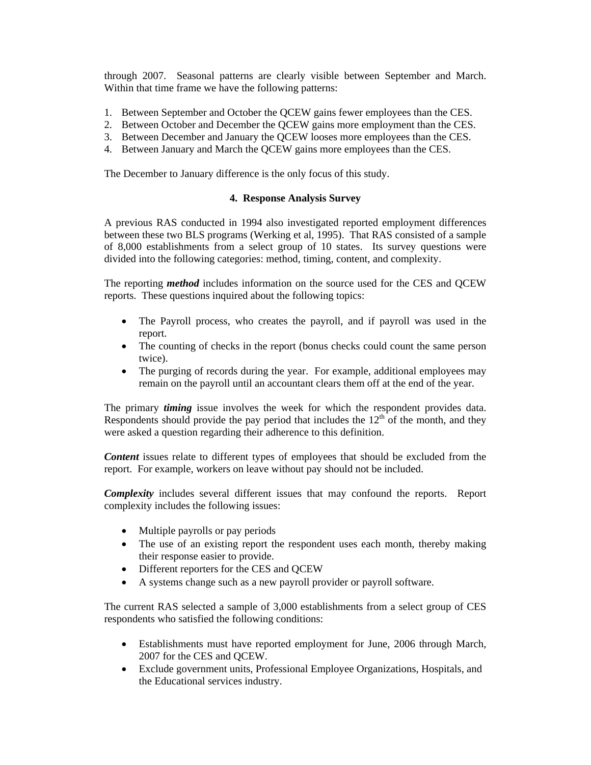through 2007. Seasonal patterns are clearly visible between September and March. Within that time frame we have the following patterns:

- 1. Between September and October the QCEW gains fewer employees than the CES.
- 2. Between October and December the QCEW gains more employment than the CES.
- 3. Between December and January the QCEW looses more employees than the CES.
- 4. Between January and March the QCEW gains more employees than the CES.

The December to January difference is the only focus of this study.

### **4. Response Analysis Survey**

A previous RAS conducted in 1994 also investigated reported employment differences between these two BLS programs (Werking et al, 1995). That RAS consisted of a sample of 8,000 establishments from a select group of 10 states. Its survey questions were divided into the following categories: method, timing, content, and complexity.

The reporting *method* includes information on the source used for the CES and QCEW reports. These questions inquired about the following topics:

- The Payroll process, who creates the payroll, and if payroll was used in the report.
- The counting of checks in the report (bonus checks could count the same person twice).
- The purging of records during the year. For example, additional employees may remain on the payroll until an accountant clears them off at the end of the year.

The primary *timing* issue involves the week for which the respondent provides data. Respondents should provide the pay period that includes the  $12<sup>th</sup>$  of the month, and they were asked a question regarding their adherence to this definition.

*Content* issues relate to different types of employees that should be excluded from the report. For example, workers on leave without pay should not be included.

*Complexity* includes several different issues that may confound the reports. Report complexity includes the following issues:

- Multiple payrolls or pay periods
- The use of an existing report the respondent uses each month, thereby making their response easier to provide.
- Different reporters for the CES and QCEW
- A systems change such as a new payroll provider or payroll software.

The current RAS selected a sample of 3,000 establishments from a select group of CES respondents who satisfied the following conditions:

- Establishments must have reported employment for June, 2006 through March, 2007 for the CES and QCEW.
- Exclude government units, Professional Employee Organizations, Hospitals, and the Educational services industry.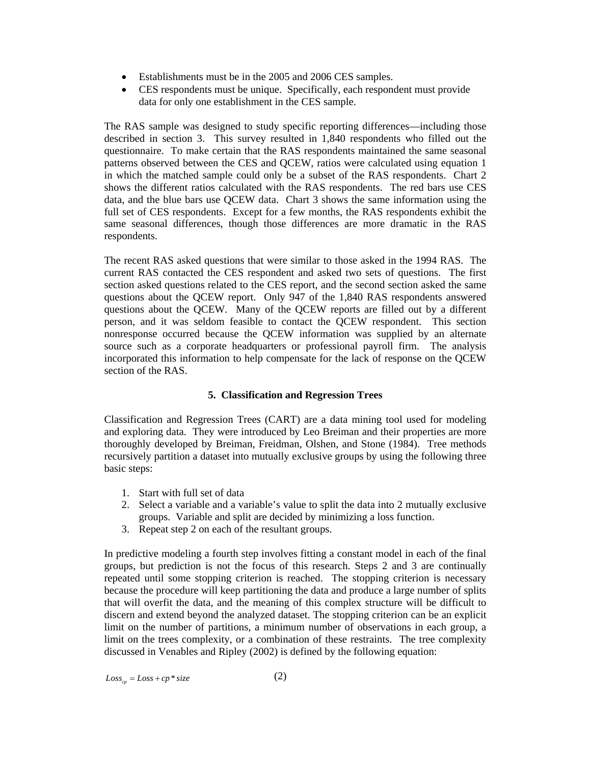- Establishments must be in the 2005 and 2006 CES samples.
- CES respondents must be unique. Specifically, each respondent must provide data for only one establishment in the CES sample.

The RAS sample was designed to study specific reporting differences—including those described in section 3. This survey resulted in 1,840 respondents who filled out the questionnaire. To make certain that the RAS respondents maintained the same seasonal patterns observed between the CES and QCEW, ratios were calculated using equation 1 in which the matched sample could only be a subset of the RAS respondents. Chart 2 shows the different ratios calculated with the RAS respondents. The red bars use CES data, and the blue bars use QCEW data. Chart 3 shows the same information using the full set of CES respondents. Except for a few months, the RAS respondents exhibit the same seasonal differences, though those differences are more dramatic in the RAS respondents.

The recent RAS asked questions that were similar to those asked in the 1994 RAS. The current RAS contacted the CES respondent and asked two sets of questions. The first section asked questions related to the CES report, and the second section asked the same questions about the QCEW report. Only 947 of the 1,840 RAS respondents answered questions about the QCEW. Many of the QCEW reports are filled out by a different person, and it was seldom feasible to contact the QCEW respondent. This section nonresponse occurred because the QCEW information was supplied by an alternate source such as a corporate headquarters or professional payroll firm. The analysis incorporated this information to help compensate for the lack of response on the QCEW section of the RAS.

# **5. Classification and Regression Trees**

Classification and Regression Trees (CART) are a data mining tool used for modeling and exploring data. They were introduced by Leo Breiman and their properties are more thoroughly developed by Breiman, Freidman, Olshen, and Stone (1984). Tree methods recursively partition a dataset into mutually exclusive groups by using the following three basic steps:

- 1. Start with full set of data
- 2. Select a variable and a variable's value to split the data into 2 mutually exclusive groups. Variable and split are decided by minimizing a loss function.
- 3. Repeat step 2 on each of the resultant groups.

In predictive modeling a fourth step involves fitting a constant model in each of the final groups, but prediction is not the focus of this research. Steps 2 and 3 are continually repeated until some stopping criterion is reached. The stopping criterion is necessary because the procedure will keep partitioning the data and produce a large number of splits that will overfit the data, and the meaning of this complex structure will be difficult to discern and extend beyond the analyzed dataset. The stopping criterion can be an explicit limit on the number of partitions, a minimum number of observations in each group, a limit on the trees complexity, or a combination of these restraints. The tree complexity discussed in Venables and Ripley (2002) is defined by the following equation:

 $Loss_{cp} = Loss + cp * size$  (2)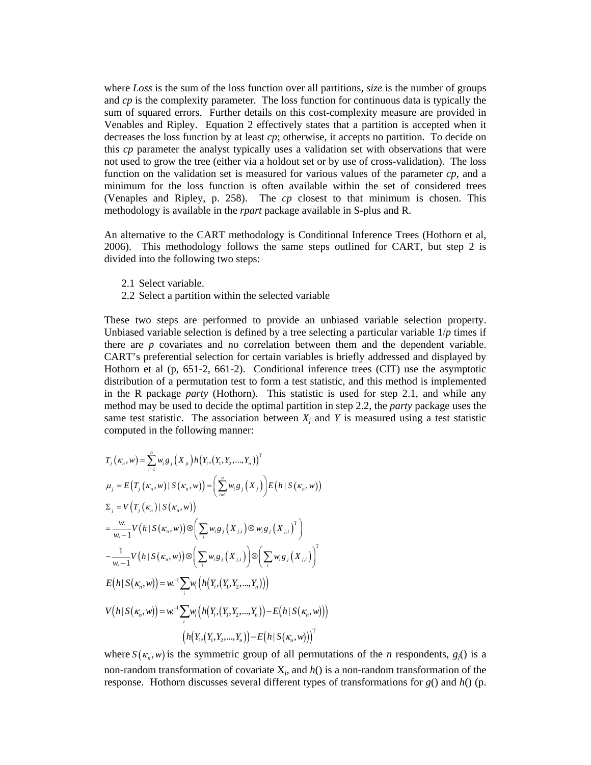where *Loss* is the sum of the loss function over all partitions, *size* is the number of groups and *cp* is the complexity parameter. The loss function for continuous data is typically the sum of squared errors. Further details on this cost-complexity measure are provided in Venables and Ripley. Equation 2 effectively states that a partition is accepted when it decreases the loss function by at least *cp*; otherwise, it accepts no partition. To decide on this *cp* parameter the analyst typically uses a validation set with observations that were not used to grow the tree (either via a holdout set or by use of cross-validation). The loss function on the validation set is measured for various values of the parameter *cp*, and a minimum for the loss function is often available within the set of considered trees (Venaples and Ripley, p. 258). The *cp* closest to that minimum is chosen. This methodology is available in the *rpart* package available in S-plus and R.

An alternative to the CART methodology is Conditional Inference Trees (Hothorn et al, 2006). This methodology follows the same steps outlined for CART, but step 2 is divided into the following two steps:

- 2.1 Select variable.
- 2.2 Select a partition within the selected variable

These two steps are performed to provide an unbiased variable selection property. Unbiased variable selection is defined by a tree selecting a particular variable  $1/p$  times if there are *p* covariates and no correlation between them and the dependent variable. CART's preferential selection for certain variables is briefly addressed and displayed by Hothorn et al (p, 651-2, 661-2). Conditional inference trees (CIT) use the asymptotic distribution of a permutation test to form a test statistic, and this method is implemented in the R package *party* (Hothorn). This statistic is used for step 2.1, and while any method may be used to decide the optimal partition in step 2.2, the *party* package uses the same test statistic. The association between  $X_i$  and  $Y$  is measured using a test statistic computed in the following manner:

$$
T_{j}(\kappa_{n}, w) = \sum_{i=1}^{n} w_{i}g_{j}(X_{ji})h(Y_{i}, (Y_{1}, Y_{2},..., Y_{n}))^{T}
$$
  
\n
$$
\mu_{j} = E(T_{j}(\kappa_{n}, w) | S(\kappa_{n}, w)) = \left(\sum_{i=1}^{n} w_{i}g_{j}(X_{j})\right)E(h|S(\kappa_{n}, w))
$$
  
\n
$$
\Sigma_{j} = V(T_{j}(\kappa_{n}) | S(\kappa_{n}, w))
$$
  
\n
$$
= \frac{w}{w_{i}-1}V(h|S(\kappa_{n}, w)) \otimes \left(\sum_{i} w_{i}g_{j}(X_{j,i}) \otimes w_{i}g_{j}(X_{j,i})^{T}\right)
$$
  
\n
$$
- \frac{1}{w_{i}-1}V(h|S(\kappa_{n}, w)) \otimes \left(\sum_{i} w_{i}g_{j}(X_{j,i})\right) \otimes \left(\sum_{i} w_{i}g_{j}(X_{j,i})\right)^{T}
$$
  
\n
$$
E(h|S(\kappa_{n}, w)) = w_{i}^{-1} \sum_{i} w_{i} \left(h(Y_{i}, (Y_{1}, Y_{2},..., Y_{n}))\right)
$$
  
\n
$$
V(h|S(\kappa_{n}, w)) = w_{i}^{-1} \sum_{i} w_{i} \left(h(Y_{i}, (Y_{1}, Y_{2},..., Y_{n})) - E(h|S(\kappa_{n}, w))\right)^{T}
$$
  
\n
$$
\left(h(Y_{i}, (Y_{1}, Y_{2},..., Y_{n})) - E(h|S(\kappa_{n}, w))\right)^{T}
$$

where  $S(\kappa_n, w)$  is the symmetric group of all permutations of the *n* respondents,  $g_i()$  is a non-random transformation of covariate X*j*, and *h*() is a non-random transformation of the response. Hothorn discusses several different types of transformations for *g*() and *h*() (p.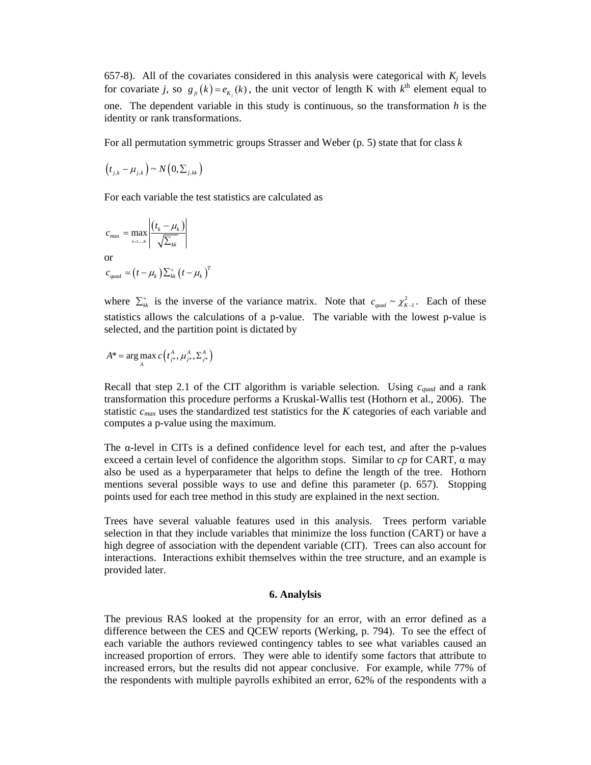657-8). All of the covariates considered in this analysis were categorical with  $K_i$  levels for covariate *j*, so  $g_{ji}(k) = e_{K_i}(k)$ , the unit vector of length K with  $k^{\text{th}}$  element equal to one. The dependent variable in this study is continuous, so the transformation *h* is the identity or rank transformations.

For all permutation symmetric groups Strasser and Weber (p. 5) state that for class *k*

$$
(t_{j,k}-\mu_{j,k}) \sim N(0,\Sigma_{j,kk})
$$

For each variable the test statistics are calculated as

$$
c_{\max} = \max_{k=1,...K} \left| \frac{(t_k - \mu_k)}{\sqrt{\sum_{kk}}}\right|
$$
  
or  

$$
c_{quad} = (t - \mu_k) \sum_{kk} (t - \mu_k)^T
$$

where  $\sum_{kk}^{+}$  is the inverse of the variance matrix. Note that  $c_{quad} \sim \chi_{K-1}^{2}$ . Each of these statistics allows the calculations of a p-value. The variable with the lowest p-value is selected, and the partition point is dictated by

$$
A^* = \arg \max_{A} c(t^A_{j^*}, \mu^A_{j^*}, \Sigma^A_{j^*})
$$

Recall that step 2.1 of the CIT algorithm is variable selection. Using *cquad* and a rank transformation this procedure performs a Kruskal-Wallis test (Hothorn et al., 2006). The statistic *cmax* uses the standardized test statistics for the *K* categories of each variable and computes a p-value using the maximum.

The  $\alpha$ -level in CITs is a defined confidence level for each test, and after the p-values exceed a certain level of confidence the algorithm stops. Similar to  $cp$  for CART,  $\alpha$  may also be used as a hyperparameter that helps to define the length of the tree. Hothorn mentions several possible ways to use and define this parameter (p. 657). Stopping points used for each tree method in this study are explained in the next section.

Trees have several valuable features used in this analysis. Trees perform variable selection in that they include variables that minimize the loss function (CART) or have a high degree of association with the dependent variable (CIT). Trees can also account for interactions. Interactions exhibit themselves within the tree structure, and an example is provided later.

#### **6. Analylsis**

The previous RAS looked at the propensity for an error, with an error defined as a difference between the CES and QCEW reports (Werking, p. 794). To see the effect of each variable the authors reviewed contingency tables to see what variables caused an increased proportion of errors. They were able to identify some factors that attribute to increased errors, but the results did not appear conclusive. For example, while 77% of the respondents with multiple payrolls exhibited an error, 62% of the respondents with a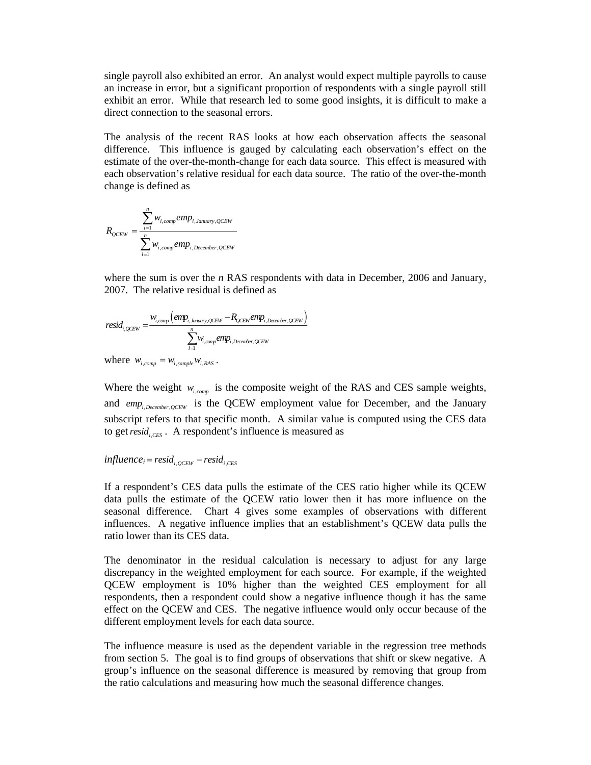single payroll also exhibited an error. An analyst would expect multiple payrolls to cause an increase in error, but a significant proportion of respondents with a single payroll still exhibit an error. While that research led to some good insights, it is difficult to make a direct connection to the seasonal errors.

The analysis of the recent RAS looks at how each observation affects the seasonal difference. This influence is gauged by calculating each observation's effect on the estimate of the over-the-month-change for each data source. This effect is measured with each observation's relative residual for each data source. The ratio of the over-the-month change is defined as

$$
R_{QCEW} = \frac{\sum_{i=1}^{n} w_{i,comp} emp_{i,January, QCEW}}{\sum_{i=1}^{n} w_{i,comp} emp_{i, December, QCEW}}
$$

where the sum is over the *n* RAS respondents with data in December, 2006 and January, 2007. The relative residual is defined as

$$
resid_{i,QCEW} = \frac{w_{i,comp} \left( emp_{i,Jauazy,QCEW} - R_{QCEW} emp_{i,December,QCEW} \right)}{\sum_{i=1}^{n} w_{i,comp} emp_{i,December,QCEW}}
$$

where  $w_{i, comp} = w_{i, sample} w_{i, RAS}$ .

Where the weight  $w_{i,comp}$  is the composite weight of the RAS and CES sample weights, and  $emp_{i, December, OCEW}$  is the QCEW employment value for December, and the January subscript refers to that specific month. A similar value is computed using the CES data to get *resid*<sub>i.crs</sub>. A respondent's influence is measured as

# $influence_i = resid_{i, OCEW} - resid_{i, CES}$

If a respondent's CES data pulls the estimate of the CES ratio higher while its QCEW data pulls the estimate of the QCEW ratio lower then it has more influence on the seasonal difference. Chart 4 gives some examples of observations with different influences. A negative influence implies that an establishment's QCEW data pulls the ratio lower than its CES data.

The denominator in the residual calculation is necessary to adjust for any large discrepancy in the weighted employment for each source. For example, if the weighted QCEW employment is 10% higher than the weighted CES employment for all respondents, then a respondent could show a negative influence though it has the same effect on the QCEW and CES. The negative influence would only occur because of the different employment levels for each data source.

The influence measure is used as the dependent variable in the regression tree methods from section 5. The goal is to find groups of observations that shift or skew negative. A group's influence on the seasonal difference is measured by removing that group from the ratio calculations and measuring how much the seasonal difference changes.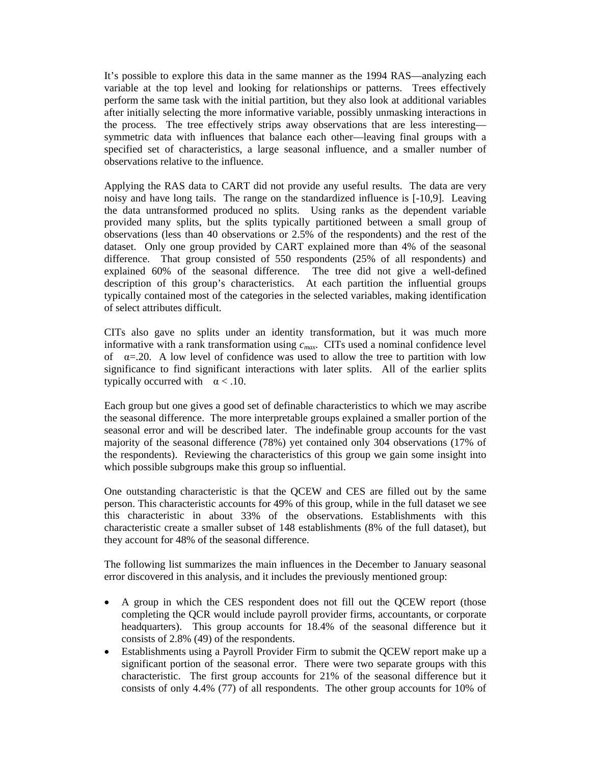It's possible to explore this data in the same manner as the 1994 RAS—analyzing each variable at the top level and looking for relationships or patterns. Trees effectively perform the same task with the initial partition, but they also look at additional variables after initially selecting the more informative variable, possibly unmasking interactions in the process. The tree effectively strips away observations that are less interesting symmetric data with influences that balance each other—leaving final groups with a specified set of characteristics, a large seasonal influence, and a smaller number of observations relative to the influence.

Applying the RAS data to CART did not provide any useful results. The data are very noisy and have long tails. The range on the standardized influence is [-10,9]. Leaving the data untransformed produced no splits. Using ranks as the dependent variable provided many splits, but the splits typically partitioned between a small group of observations (less than 40 observations or 2.5% of the respondents) and the rest of the dataset. Only one group provided by CART explained more than 4% of the seasonal difference. That group consisted of 550 respondents (25% of all respondents) and explained 60% of the seasonal difference. The tree did not give a well-defined description of this group's characteristics. At each partition the influential groups typically contained most of the categories in the selected variables, making identification of select attributes difficult.

CITs also gave no splits under an identity transformation, but it was much more informative with a rank transformation using *cmax*. CITs used a nominal confidence level of  $\alpha = 20$ . A low level of confidence was used to allow the tree to partition with low significance to find significant interactions with later splits. All of the earlier splits typically occurred with  $\alpha$  < .10.

Each group but one gives a good set of definable characteristics to which we may ascribe the seasonal difference. The more interpretable groups explained a smaller portion of the seasonal error and will be described later. The indefinable group accounts for the vast majority of the seasonal difference (78%) yet contained only 304 observations (17% of the respondents). Reviewing the characteristics of this group we gain some insight into which possible subgroups make this group so influential.

One outstanding characteristic is that the QCEW and CES are filled out by the same person. This characteristic accounts for 49% of this group, while in the full dataset we see this characteristic in about 33% of the observations. Establishments with this characteristic create a smaller subset of 148 establishments (8% of the full dataset), but they account for 48% of the seasonal difference.

The following list summarizes the main influences in the December to January seasonal error discovered in this analysis, and it includes the previously mentioned group:

- A group in which the CES respondent does not fill out the QCEW report (those completing the QCR would include payroll provider firms, accountants, or corporate headquarters). This group accounts for 18.4% of the seasonal difference but it consists of 2.8% (49) of the respondents.
- Establishments using a Payroll Provider Firm to submit the QCEW report make up a significant portion of the seasonal error. There were two separate groups with this characteristic. The first group accounts for 21% of the seasonal difference but it consists of only 4.4% (77) of all respondents. The other group accounts for 10% of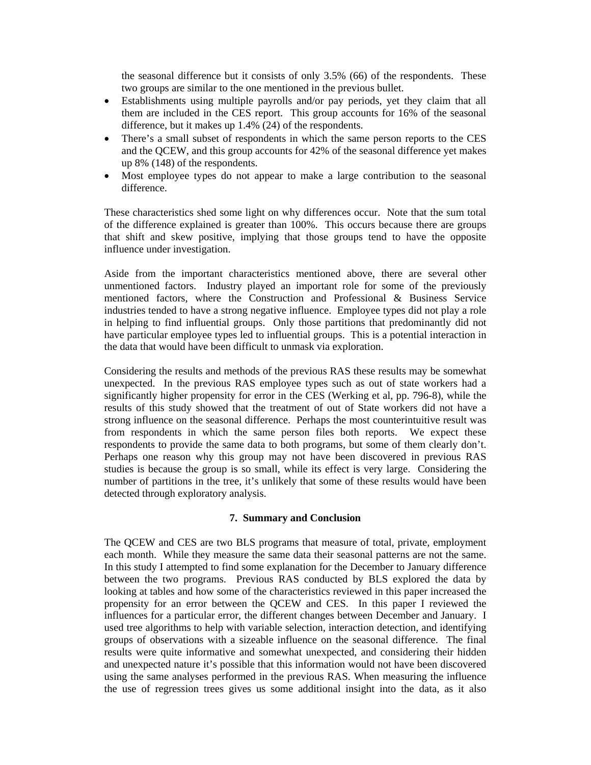the seasonal difference but it consists of only 3.5% (66) of the respondents. These two groups are similar to the one mentioned in the previous bullet.

- Establishments using multiple payrolls and/or pay periods, yet they claim that all them are included in the CES report. This group accounts for 16% of the seasonal difference, but it makes up 1.4% (24) of the respondents.
- There's a small subset of respondents in which the same person reports to the CES and the QCEW, and this group accounts for 42% of the seasonal difference yet makes up 8% (148) of the respondents.
- Most employee types do not appear to make a large contribution to the seasonal difference.

These characteristics shed some light on why differences occur. Note that the sum total of the difference explained is greater than 100%. This occurs because there are groups that shift and skew positive, implying that those groups tend to have the opposite influence under investigation.

Aside from the important characteristics mentioned above, there are several other unmentioned factors. Industry played an important role for some of the previously mentioned factors, where the Construction and Professional & Business Service industries tended to have a strong negative influence. Employee types did not play a role in helping to find influential groups. Only those partitions that predominantly did not have particular employee types led to influential groups. This is a potential interaction in the data that would have been difficult to unmask via exploration.

Considering the results and methods of the previous RAS these results may be somewhat unexpected. In the previous RAS employee types such as out of state workers had a significantly higher propensity for error in the CES (Werking et al, pp. 796-8), while the results of this study showed that the treatment of out of State workers did not have a strong influence on the seasonal difference. Perhaps the most counterintuitive result was from respondents in which the same person files both reports. We expect these respondents to provide the same data to both programs, but some of them clearly don't. Perhaps one reason why this group may not have been discovered in previous RAS studies is because the group is so small, while its effect is very large. Considering the number of partitions in the tree, it's unlikely that some of these results would have been detected through exploratory analysis.

### **7. Summary and Conclusion**

The QCEW and CES are two BLS programs that measure of total, private, employment each month. While they measure the same data their seasonal patterns are not the same. In this study I attempted to find some explanation for the December to January difference between the two programs. Previous RAS conducted by BLS explored the data by looking at tables and how some of the characteristics reviewed in this paper increased the propensity for an error between the QCEW and CES. In this paper I reviewed the influences for a particular error, the different changes between December and January. I used tree algorithms to help with variable selection, interaction detection, and identifying groups of observations with a sizeable influence on the seasonal difference. The final results were quite informative and somewhat unexpected, and considering their hidden and unexpected nature it's possible that this information would not have been discovered using the same analyses performed in the previous RAS. When measuring the influence the use of regression trees gives us some additional insight into the data, as it also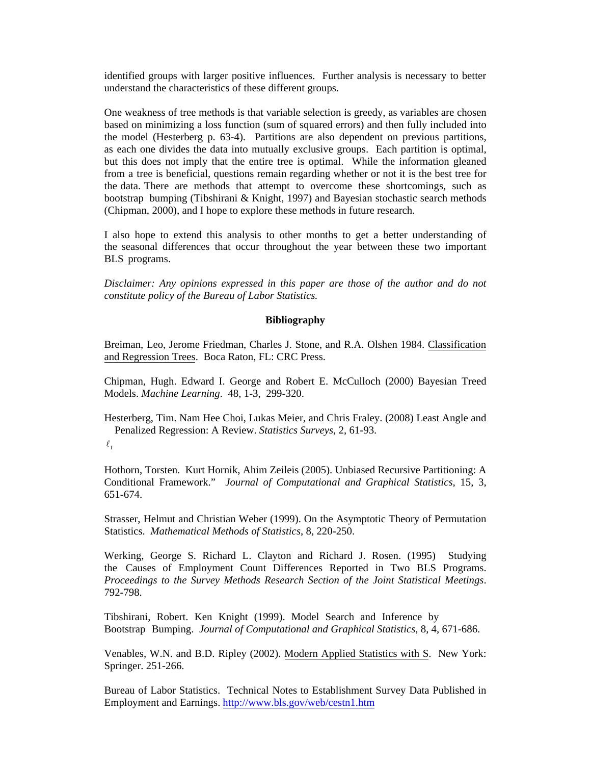identified groups with larger positive influences. Further analysis is necessary to better understand the characteristics of these different groups.

One weakness of tree methods is that variable selection is greedy, as variables are chosen based on minimizing a loss function (sum of squared errors) and then fully included into the model (Hesterberg p. 63-4). Partitions are also dependent on previous partitions, as each one divides the data into mutually exclusive groups. Each partition is optimal, but this does not imply that the entire tree is optimal. While the information gleaned from a tree is beneficial, questions remain regarding whether or not it is the best tree for the data. There are methods that attempt to overcome these shortcomings, such as bootstrap bumping (Tibshirani & Knight, 1997) and Bayesian stochastic search methods (Chipman, 2000), and I hope to explore these methods in future research.

I also hope to extend this analysis to other months to get a better understanding of the seasonal differences that occur throughout the year between these two important BLS programs.

*Disclaimer: Any opinions expressed in this paper are those of the author and do not constitute policy of the Bureau of Labor Statistics.* 

### **Bibliography**

Breiman, Leo, Jerome Friedman, Charles J. Stone, and R.A. Olshen 1984. Classification and Regression Trees. Boca Raton, FL: CRC Press.

Chipman, Hugh. Edward I. George and Robert E. McCulloch (2000) Bayesian Treed Models. *Machine Learning*. 48, 1-3, 299-320.

Hesterberg, Tim. Nam Hee Choi, Lukas Meier, and Chris Fraley. (2008) Least Angle and Penalized Regression: A Review. *Statistics Surveys*, 2, 61-93.

 $\ell_{1}$ 

Hothorn, Torsten. Kurt Hornik, Ahim Zeileis (2005). Unbiased Recursive Partitioning: A Conditional Framework." *Journal of Computational and Graphical Statistics*, 15, 3, 651-674.

Strasser, Helmut and Christian Weber (1999). On the Asymptotic Theory of Permutation Statistics. *Mathematical Methods of Statistics*, 8, 220-250.

Werking, George S. Richard L. Clayton and Richard J. Rosen. (1995) Studying the Causes of Employment Count Differences Reported in Two BLS Programs. *Proceedings to the Survey Methods Research Section of the Joint Statistical Meetings*. 792-798.

Tibshirani, Robert. Ken Knight (1999). Model Search and Inference by Bootstrap Bumping. *Journal of Computational and Graphical Statistics*, 8, 4, 671-686.

Venables, W.N. and B.D. Ripley (2002). Modern Applied Statistics with S. New York: Springer. 251-266.

Bureau of Labor Statistics. Technical Notes to Establishment Survey Data Published in Employment and Earnings. http://www.bls.gov/web/cestn1.htm